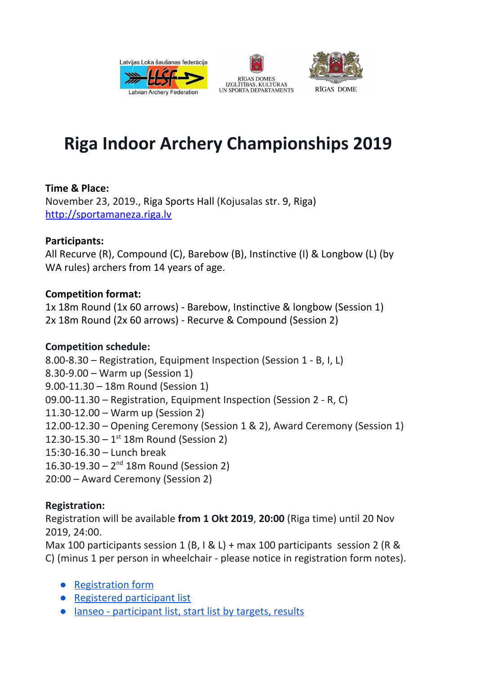





# **Riga Indoor Archery Championships 2019**

## **Time & Place:**

November 23, 2019., Riga Sports Hall (Kojusalas str. 9, Riga) [http://sportamaneza.riga.lv](http://sportamaneza.riga.lv/)

# **Participants:**

All Recurve (R), Compound (C), Barebow (B), Instinctive (I) & Longbow (L) (by WA rules) archers from 14 years of age.

# **Competition format:**

1x 18m Round (1x 60 arrows) - Barebow, Instinctive & longbow (Session 1) 2x 18m Round (2x 60 arrows) - Recurve & Compound (Session 2)

## **Competition schedule:**

8.00-8.30 – Registration, Equipment Inspection (Session 1 - B, I, L) 8.30-9.00 – Warm up (Session 1) 9.00-11.30 – 18m Round (Session 1) 09.00-11.30 – Registration, Equipment Inspection (Session 2 - R, C) 11.30-12.00 – Warm up (Session 2) 12.00-12.30 – Opening Ceremony (Session 1 & 2), Award Ceremony (Session 1)  $12.30 - 15.30 - 1$ <sup>st</sup> 18m Round (Session 2) 15:30-16.30 – Lunch break  $16.30 - 19.30 - 2<sup>nd</sup> 18m$  Round (Session 2) 20:00 – Award Ceremony (Session 2)

# **Registration:**

Registration will be available **from 1 Okt 2019**, **20:00** (Riga time) until 20 Nov 2019, 24:00.

Max 100 participants session 1 (B, I & L) + max 100 participants session 2 (R & C) (minus 1 per person in wheelchair - please notice in registration form notes).

- [Registration](https://docs.google.com/forms/d/e/1FAIpQLSd2Gg6nJs8qQkV-SFI4_KEtadfJqtX1ei9yAa2PheqFRc6C0A/viewform?usp=sf_link) form
- Registered [participant](https://docs.google.com/spreadsheets/d/1UsivT2sPZ5bLTpNNrYx5gDZwW9K6L1_vFkA31q71Au4/edit?usp=sharing) list
- Ianseo [participant](http://www.ianseo.net/Details.php?toid=6238) list, start list by targets, results